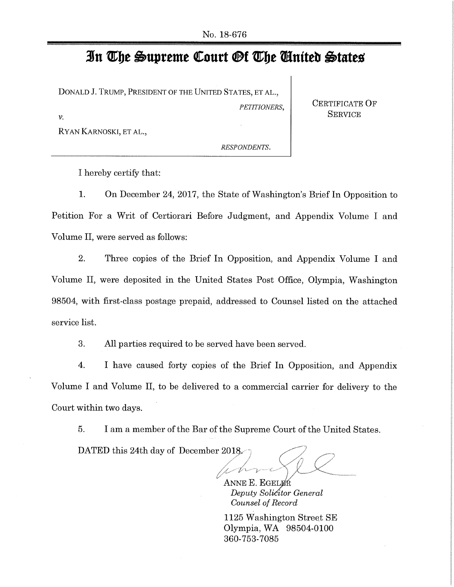# **R The Oupreme Court Of The Suiteb Otacteis**

DONALD J. TRUMP, PRESIDENT OF THE UNITED STATES, ET AL.,

RYAN KARNOSKI, ET AL.,

*PETITIONERS,* **CERTIFICATE OF SERVICE** *v*.

*RESPONDENTS.* 

I hereby certify that:

1. On December 24, 2017, the State of Washington's Brief In Opposition to Petition For a Writ of Certiorari Before Judgment, and Appendix Volume I and Volume II, were served as follows:

2. Three copies of the Brief In Opposition, and Appendix Volume I and Volume II, were deposited in the United States Post Office, Olympia, Washington 98504, with first-class postage prepaid, addressed to Counsel listed on the attached service list.

3. All parties required to be served have been served.

4. I have caused forty copies of the Brief In Opposition, and Appendix Volume I and Volume II, to be delivered to a commercial carrier for delivery to the Court within two days.

5. I am a member of the Bar of the Supreme Court of the United States.

DATED this 24th day of December 2018.

ANNE E. EGELER *Deputy Solictor General Counsel of Record* 

1125 Washington Street *SE*  Olympia, WA 98504-0100 360-753-7085